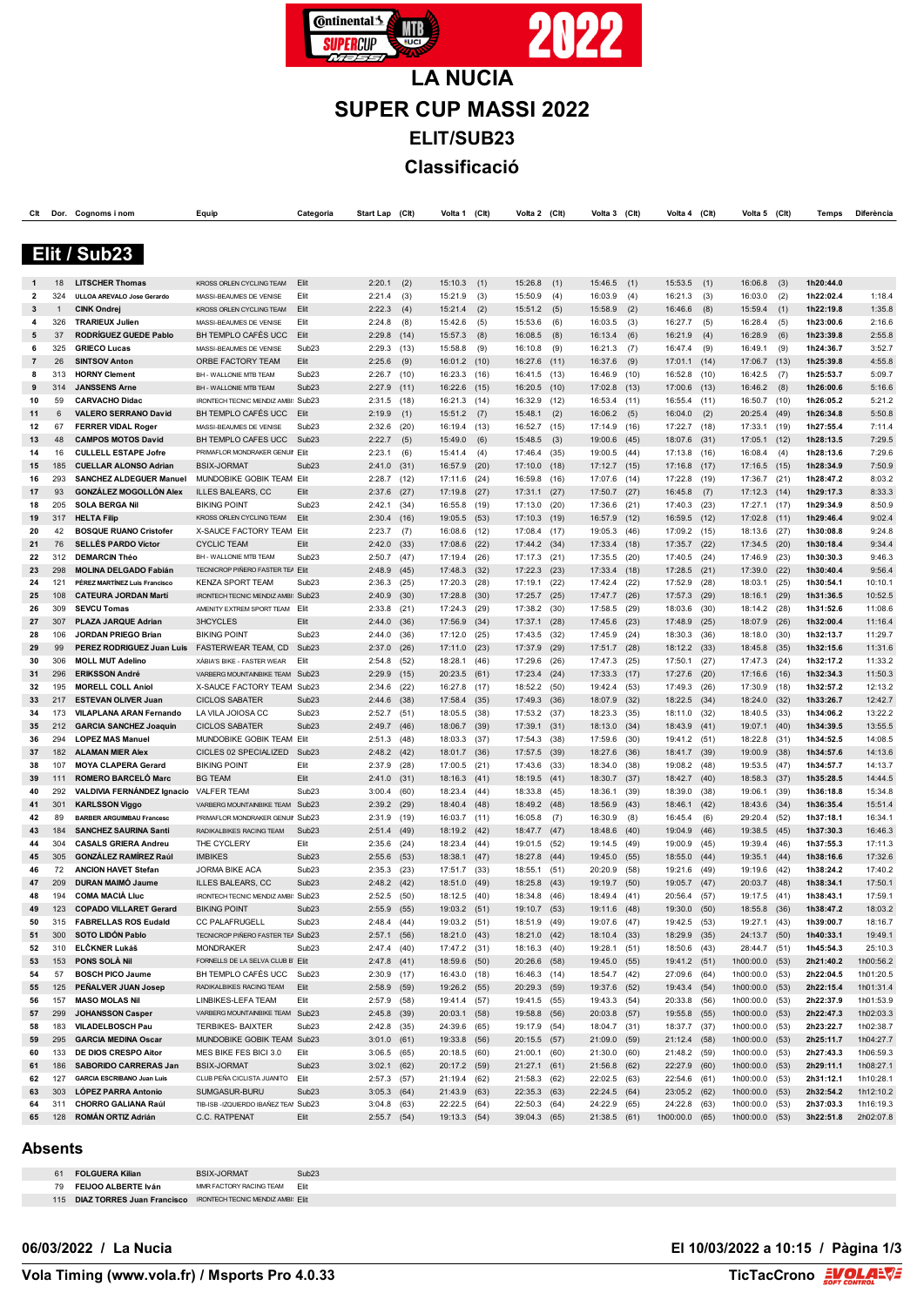

**SUPER CUP MASSI 2022 ELIT/SUB23 Classificació**

| Clt               | Dor.       | Cognoms i nom                                                  | Equip                                               | Categoria                              | Start Lap                      | (Clt)        | Volta 1                      | (C <sub>It</sub> ) | Volta 2                 | (C <sup>H</sup> ) | Volta 3                      | (Clt)        | Volta 4                      | (Clt)        | Volta 5                          | (C <sub>lt</sub> ) | Temps                  | Diferència             |
|-------------------|------------|----------------------------------------------------------------|-----------------------------------------------------|----------------------------------------|--------------------------------|--------------|------------------------------|--------------------|-------------------------|-------------------|------------------------------|--------------|------------------------------|--------------|----------------------------------|--------------------|------------------------|------------------------|
|                   |            |                                                                |                                                     |                                        |                                |              |                              |                    |                         |                   |                              |              |                              |              |                                  |                    |                        |                        |
|                   |            |                                                                |                                                     |                                        |                                |              |                              |                    |                         |                   |                              |              |                              |              |                                  |                    |                        |                        |
|                   |            | Elit / Sub23                                                   |                                                     |                                        |                                |              |                              |                    |                         |                   |                              |              |                              |              |                                  |                    |                        |                        |
|                   |            |                                                                |                                                     |                                        |                                |              |                              |                    |                         |                   |                              |              |                              |              |                                  |                    |                        |                        |
|                   | 18         | <b>LITSCHER Thomas</b>                                         | KROSS ORLEN CYCLING TEAM                            | Elit                                   | 2:20.1                         | (2)          | 15:10.3                      | (1)                | 15:26.8                 | (1)               | 15:46.5                      | (1)          | $15:53.5$ (1)                |              | 16:06.8                          | (3)                | 1h20:44.0              |                        |
| $\mathbf{2}$<br>3 | 324<br>1   | ULLOA AREVALO Jose Gerardo<br><b>CINK Ondrej</b>               | MASSI-BEAUMES DE VENISE<br>KROSS ORLEN CYCLING TEAM | Elit<br>Elit                           | 2:21.4<br>2:22.3               | (3)<br>(4)   | 15:21.9<br>15:21.4           | (3)                | 15:50.9<br>15:51.2      | (4)<br>(5)        | 16:03.9<br>15:58.9           | (4)<br>(2)   | 16:21.3<br>16:46.6           | (3)<br>(8)   | 16:03.0<br>15:59.4               | (2)<br>(1)         | 1h22:02.4<br>1h22:19.8 | 1:18.4<br>1:35.8       |
| 4                 | 326        | <b>TRARIEUX Julien</b>                                         | MASSI-BEAUMES DE VENISE                             | Elit                                   | 2:24.8                         | (8)          | 15:42.6                      | (2)<br>(5)         | 15:53.6                 | (6)               | 16:03.5                      | (3)          | 16:27.7                      | (5)          | 16:28.4                          | (5)                | 1h23:00.6              | 2:16.6                 |
| 5                 | 37         | RODRÍGUEZ GUEDE Pablo                                          | BH TEMPLO CAFÉS UCC                                 | Elit                                   | 2:29.8                         | (14)         | 15:57.3                      | (8)                | 16:08.5                 | (8)               | 16:13.4                      | (6)          | 16:21.9                      | (4)          | 16:28.9                          | (6)                | 1h23:39.8              | 2:55.8                 |
| 6                 | 325        | <b>GRIECO Lucas</b>                                            | MASSI-BEAUMES DE VENISE                             | Sub <sub>23</sub>                      | 2:29.3                         | (13)         | 15:58.8                      | (9)                | 16:10.8                 | (9)               | 16:21.3                      | (7)          | 16:47.4                      | (9)          | 16:49.1                          | (9)                | 1h24:36.7              | 3:52.7                 |
| $\overline{7}$    | 26         | <b>SINTSOV Anton</b>                                           | ORBE FACTORY TEAM                                   | Elit                                   | 2:25.6                         | (9)          | 16:01.2                      | (10)               | 16:27.6                 | (11)              | 16:37.6                      | (9)          | 17:01.1                      | (14)         | 17:06.7                          | (13)               | 1h25:39.8              | 4:55.8                 |
| 8                 | 313        | <b>HORNY Clement</b>                                           | BH - WALLONIE MTB TEAM                              | Sub <sub>23</sub>                      | 2:26.7                         | (10)         | 16:23.3                      | (16)               | 16:41.5                 | (13)              | 16:46.9 (10)                 |              | 16:52.8 (10)                 |              | 16:42.5                          | (7)                | 1h25:53.7              | 5:09.7                 |
| 9                 | 314        | <b>JANSSENS Arne</b>                                           | BH - WALLONIE MTB TEAM                              | Sub <sub>23</sub>                      | 2:27.9                         | (11)         | 16:22.6                      | (15)               | 16:20.5                 | (10)              | 17:02.8 (13)                 |              | 17:00.6 (13)                 |              | 16:46.2                          | (8)                | 1h26:00.6              | 5:16.6                 |
| 10                | 59         | <b>CARVACHO Didac</b>                                          | IRONTECH TECNIC MENDIZ AMBI: Sub23                  |                                        | 2:31.5                         | (18)         | 16:21.3                      | (14)               | 16:32.9                 | (12)              | 16:53.4 (11)                 |              | 16:55.4 (11)                 |              | 16:50.7                          | (10)               | 1h26:05.2              | 5:21.2                 |
| 11                | 6          | <b>VALERO SERRANO David</b>                                    | BH TEMPLO CAFÉS UCC                                 | Elit                                   | 2:19.9                         | (1)          | 15:51.2                      | (7)                | 15:48.1                 | (2)               | 16:06.2                      | (5)          | 16:04.0                      | (2)          | 20:25.4                          | (49)               | 1h26:34.8              | 5:50.8                 |
| 12                | 67         | <b>FERRER VIDAL Roger</b>                                      | MASSI-BEAUMES DE VENISE                             | Sub <sub>23</sub>                      | 2:32.6                         | (20)         | 16:19.4                      | (13)               | 16:52.7                 | (15)              | 17:14.9                      | (16)         | 17:22.7 (18)                 |              | 17:33.1                          | (19)               | 1h27:55.4              | 7:11.4                 |
| 13                | 48         | <b>CAMPOS MOTOS David</b>                                      | BH TEMPLO CAFES UCC                                 | Sub <sub>23</sub>                      | 2:22.7                         | (5)          | 15:49.0                      | (6)                | 15:48.5                 | (3)               | 19:00.6 (45)                 |              | 18:07.6                      | (31)         | 17:05.1                          | (12)               | 1h28:13.5              | 7:29.5                 |
| 14                | 16         | <b>CULLELL ESTAPE Jofre</b>                                    | PRIMAFLOR MONDRAKER GENUIL Elit                     |                                        | 2:23.1                         | (6)          | 15:41.4                      | (4)                | 17:46.4                 | (35)              | 19:00.5 (44)                 |              | 17:13.8 (16)                 |              | 16:08.4                          | (4)                | 1h28:13.6              | 7:29.6                 |
| 15<br>16          | 185<br>293 | <b>CUELLAR ALONSO Adrian</b><br><b>SANCHEZ ALDEGUER Manuel</b> | <b>BSIX-JORMAT</b><br>MUNDOBIKE GOBIK TEAM Elit     | Sub <sub>23</sub>                      | 2:41.0                         | (31)         | 16:57.9                      | (20)               | 17:10.0                 | (18)              | 17:12.7 (15)                 |              | 17:16.8                      | (17)         | 17:16.5                          | (15)               | 1h28:34.9<br>1h28:47.2 | 7:50.9<br>8:03.2       |
| 17                | 93         | <b>GONZÁLEZ MOGOLLÓN Alex</b>                                  | <b>ILLES BALEARS, CC</b>                            | Elit                                   | 2:28.7<br>2:37.6               | (12)<br>(27) | 17:11.6<br>17:19.8           | (24)<br>(27)       | 16:59.8<br>17:31.1      | (16)<br>(27)      | 17:07.6 (14)<br>17:50.7 (27) |              | 17:22.8<br>16:45.8           | (19)<br>(7)  | 17:36.7<br>17:12.3               | (21)<br>(14)       | 1h29:17.3              | 8:33.3                 |
| 18                | 205        | <b>SOLA BERGA Nil</b>                                          | <b>BIKING POINT</b>                                 | Sub <sub>23</sub>                      | 2:42.1                         | (34)         | 16:55.8                      | (19)               | 17:13.0                 | (20)              | 17:36.6 (21)                 |              | 17:40.3                      | (23)         | 17:27.1                          | (17)               | 1h29:34.9              | 8:50.9                 |
| 19                | 317        | <b>HELTA Filip</b>                                             | KROSS ORLEN CYCLING TEAM                            | Elit                                   | 2:30.4                         | (16)         | 19:05.5                      | (53)               | 17:10.3                 | (19)              | 16:57.9 (12)                 |              | 16:59.5                      | (12)         | 17:02.8                          | (11)               | 1h29:46.4              | 9:02.4                 |
| 20                | 42         | <b>BOSQUE RUANO Cristofer</b>                                  | X-SAUCE FACTORY TEAM                                | Elit                                   | 2:23.7                         | (7)          | 16:08.6                      | (12)               | 17:08.4                 | (17)              | 19:05.3 (46)                 |              | 17:09.2                      | (15)         | 18:13.6                          | (27)               | 1h30:08.8              | 9:24.8                 |
| 21                | 76         | <b>SELLÉS PARDO Víctor</b>                                     | <b>CYCLIC TEAM</b>                                  | Elit                                   | 2:42.0                         | (33)         | 17:08.6                      | (22)               | 17:44.2                 | (34)              | 17:33.4 (18)                 |              | 17:35.7                      | (22)         | 17:34.5                          | (20)               | 1h30:18.4              | 9:34.4                 |
| 22                | 312        | <b>DEMARCIN Théo</b>                                           | BH - WALLONIE MTB TEAM                              | Sub <sub>23</sub>                      | 2:50.7                         | (47)         | 17:19.4                      | (26)               | 17:17.3                 | (21)              | 17:35.5                      | (20)         | 17:40.5 (24)                 |              | 17:46.9                          | (23)               | 1h30:30.3              | 9:46.3                 |
| 23                | 298        | <b>MOLINA DELGADO Fabián</b>                                   | <b>TECNICROP PIÑERO FASTER TEA Elit</b>             |                                        | 2:48.9                         | (45)         | 17:48.3                      | (32)               | 17:22.3                 | (23)              | 17:33.4 (18)                 |              | 17:28.5                      | (21)         | 17:39.0                          | (22)               | 1h30:40.4              | 9:56.4                 |
| 24                | 121        | PÉREZ MARTÍNEZ Luis Francisco                                  | <b>KENZA SPORT TEAM</b>                             | Sub <sub>23</sub>                      | 2:36.3                         | (25)         | 17:20.3                      | (28)               | 17:19.1                 | (22)              | 17:42.4 (22)                 |              | 17:52.9                      | (28)         | 18:03.1                          | (25)               | 1h30:54.1              | 10:10.1                |
| 25                | 108        | <b>CATEURA JORDAN Martí</b>                                    | IRONTECH TECNIC MENDIZ AMBI: Sub23                  |                                        | 2:40.9                         | (30)         | 17:28.8                      | (30)               | 17:25.7                 | (25)              | 17:47.7                      | (26)         | 17:57.3                      | (29)         | 18:16.1                          | (29)               | 1h31:36.5              | 10:52.5                |
| 26                | 309        | <b>SEVCU Tomas</b>                                             | AMENITY EXTREM SPORT TEAM                           | Elit                                   | 2:33.8                         | (21)         | 17:24.3                      | (29)               | 17:38.2                 | (30)              | 17:58.5 (29)                 |              | 18:03.6                      | (30)         | 18:14.2                          | (28)               | 1h31:52.6              | 11:08.6                |
| 27<br>28          | 307<br>106 | PLAZA JARQUE Adrian<br><b>JORDAN PRIEGO Brian</b>              | 3HCYCLES<br><b>BIKING POINT</b>                     | Elit<br>Sub <sub>23</sub>              | 2:44.0<br>2:44.0               | (36)         | 17:56.9                      | (34)               | 17:37.1                 | (28)              | 17:45.6 (23)                 |              | 17:48.9                      | (25)         | 18:07.9                          | (26)               | 1h32:00.4<br>1h32:13.7 | 11:16.4<br>11:29.7     |
| 29                | 99         | PEREZ RODRIGUEZ Juan Luis                                      | FASTERWEAR TEAM, CD                                 | Sub <sub>23</sub>                      | 2:37.0                         | (36)<br>(26) | 17:12.0<br>17:11.0           | (25)<br>(23)       | 17:43.5<br>17:37.9      | (32)<br>(29)      | 17:45.9<br>17:51.7           | (24)<br>(28) | 18:30.3<br>18:12.2 (33)      | (36)         | 18:18.0<br>18:45.8               | (30)<br>(35)       | 1h32:15.6              | 11:31.6                |
| 30                | 306        | <b>MOLL MUT Adelino</b>                                        | XÀBIA'S BIKE - FASTER WEAR                          | Elit                                   | 2:54.8                         | (52)         | 18:28.1                      | (46)               | 17:29.6                 | (26)              | 17:47.3                      | (25)         | 17:50.1                      | (27)         | 17:47.3                          | (24)               | 1h32:17.2              | 11:33.2                |
| 31                | 296        | <b>ERIKSSON André</b>                                          | VARBERG MOUNTAINBIKE TEAM                           | Sub <sub>23</sub>                      | 2:29.9                         | (15)         | 20:23.5                      | (61)               | 17:23.4                 | (24)              | 17:33.3 (17)                 |              | 17:27.6                      | (20)         | 17:16.6                          | (16)               | 1h32:34.3              | 11:50.3                |
| 32                | 195        | <b>MORELL COLL Aniol</b>                                       | X-SAUCE FACTORY TEAM                                | Sub <sub>23</sub>                      | 2:34.6                         | (22)         | 16:27.8                      | (17)               | 18:52.2                 | (50)              | 19:42.4                      | (53)         | 17:49.3                      | (26)         | 17:30.9                          | (18)               | 1h32:57.2              | 12:13.2                |
| 33                | 217        | <b>ESTEVAN OLIVER Juan</b>                                     | <b>CICLOS SABATER</b>                               | Sub <sub>23</sub>                      | 2:44.6                         | (38)         | 17:58.4                      | (35)               | 17:49.3                 | (36)              | 18:07.9                      | (32)         | 18:22.5 (34)                 |              | 18:24.0                          | (32)               | 1h33:26.7              | 12:42.7                |
| 34                | 173        | <b>VILAPLANA ARAN Fernando</b>                                 | LA VILA JOIOSA CC                                   | Sub <sub>23</sub>                      | 2:52.7                         | (51)         | 18:05.5                      | (38)               | 17:53.2                 | (37)              | 18:23.3 (35)                 |              | 18:11.0                      | (32)         | 18:40.5                          | (33)               | 1h34:06.2              | 13:22.2                |
| 35                | 212        | <b>GARCIA SANCHEZ Joaquin</b>                                  | <b>CICLOS SABATER</b>                               | Sub <sub>23</sub>                      | 2:49.7                         | (46)         | 18:06.7                      | (39)               | 17:39.1                 | (31)              | 18:13.0                      | (34)         | 18:43.9                      | (41)         | 19:07.1                          | (40)               | 1h34:39.5              | 13:55.5                |
| 36                | 294        | <b>LOPEZ MAS Manuel</b>                                        | MUNDOBIKE GOBIK TEAM Elit                           |                                        | $2:51.3$ (48)                  |              | 18:03.3                      | (37)               | 17:54.3                 | (38)              | 17:59.6 (30)                 |              | 19:41.2 (51)                 |              | 18:22.8                          | (31)               | 1h34:52.5              | 14:08.5                |
| 37                | 182        | <b>ALAMAN MIER Alex</b>                                        | CICLES 02 SPECIALIZED                               | Sub <sub>23</sub>                      | $2:48.2$ (42)                  |              | 18:01.7                      | (36)               | 17:57.5                 | (39)              | 18:27.6 (36)                 |              | 18:41.7 (39)                 |              | 19:00.9                          | (38)               | 1h34:57.6              | 14:13.6                |
| 38                | 107        | <b>MOYA CLAPERA Gerard</b>                                     | <b>BIKING POINT</b>                                 | Elit<br>Elit                           | 2:37.9                         | (28)         | 17:00.5                      | (21)               | 17:43.6                 | (33)              | 18:34.0 (38)                 |              | 19:08.2 (48)                 |              | 19:53.5                          | (47)               | 1h34:57.7              | 14:13.7                |
| 39<br>40          | 111<br>292 | <b>ROMERO BARCELO Marc</b><br>VALDIVIA FERNÁNDEZ Ignacio       | <b>BG TEAM</b><br><b>VALFER TEAM</b>                | Sub <sub>23</sub>                      | 2:41.0<br>3:00.4               | (31)<br>(60) | 18:16.3<br>18:23.4           | (41)<br>(44)       | 18:19.5<br>18:33.8      | (41)<br>(45)      | 18:30.7 (37)<br>18:36.1      | (39)         | 18:42.7<br>18:39.0           | (40)<br>(38) | 18:58.3<br>19:06.1               | (37)<br>(39)       | 1h35:28.5<br>1h36:18.8 | 14:44.5<br>15:34.8     |
| 41                | 301        | <b>KARLSSON Viggo</b>                                          | VARBERG MOUNTAINBIKE TEAM                           | Sub <sub>23</sub>                      | 2:39.2                         | (29)         | 18:40.4                      | (48)               | 18:49.2                 | (48)              | 18:56.9                      | (43)         | 18:46.1 (42)                 |              | 18:43.6                          | (34)               | 1h36:35.4              | 15:51.4                |
| 42                | 89         | <b>BARBER ARGUIMBAU Francesc</b>                               | PRIMAFLOR MONDRAKER GENUI!                          | Sub <sub>23</sub>                      | 2:31.9                         | (19)         | 16:03.7                      | (11)               | 16:05.8                 | (7)               | 16:30.9                      | (8)          | 16:45.4                      | (6)          | 29:20.4                          | (52)               | 1h37:18.1              | 16:34.1                |
| 43                | 184        | <b>SANCHEZ SAURINA Santi</b>                                   | RADIKALBIKES RACING TEAM                            | Sub <sub>23</sub>                      | 2:51.4                         | (49)         | 18:19.2                      | (42)               | 18:47.7                 | (47)              | 18:48.6 (40)                 |              | 19:04.9                      | (46)         | 19:38.5                          | (45)               | 1h37:30.3              | 16:46.3                |
| 44                | 304        | <b>CASALS GRIERA Andreu</b>                                    | THE CYCLERY                                         | Elit                                   | 2:35.6                         | (24)         | 18:23.4                      | (44)               | 19:01.5                 | (52)              | 19:14.5 (49)                 |              | 19:00.9                      | (45)         | 19:39.4                          | (46)               | 1h37:55.3              | 17:11.3                |
| 45                | 305        | <b>GONZÁLEZ RAMÍREZ Raúl</b>                                   | <b>IMBIKES</b>                                      | Sub <sub>23</sub>                      | 2:55.6                         | (53)         | 18:38.1                      | (47)               | 18:27.8                 | (44)              | 19:45.0                      | (55)         | 18:55.0                      | (44)         | 19:35.1                          | (44)               | 1h38:16.6              | 17:32.6                |
| 46                | 72         | <b>ANCION HAVET Stefan</b>                                     | JORMA BIKE ACA                                      | Sub <sub>23</sub>                      | 2:35.3                         | (23)         | 17:51.7                      | (33)               | 18:55.1                 | (51)              | 20:20.9                      | (58)         | 19:21.6                      | (49)         | 19:19.6                          | (42)               | 1h38:24.2              | 17:40.2                |
| 47                | 209        | DURAN MAIMÓ Jaume                                              | ILLES BALEARS, CC                                   | Sub <sub>23</sub>                      | 2:48.2                         | (42)         | 18:51.0                      | (49)               | 18:25.8                 | (43)              | 19:19.7 (50)                 |              | 19:05.7 (47)                 |              | 20:03.7                          | (48)               | 1h38:34.1              | 17:50.1                |
| 48                | 194        | <b>COMA MACIÀ LIUC</b>                                         | IRONTECH TECNIC MENDIZ AMBI: Sub23                  |                                        | 2:52.5                         | (50)         | 18:12.5                      | (40)               | 18:34.8                 | (46)              | 18:49.4 (41)                 |              | 20:56.4 (57)                 |              | 19:17.5                          | (41)               | 1h38:43.1              | 17:59.1                |
| 49<br>50          | 123<br>315 | <b>COPADO VILLARET Gerard</b><br><b>FABRELLAS ROS Eudald</b>   | <b>BIKING POINT</b><br><b>CC PALAFRUGELL</b>        | Sub <sub>23</sub><br>Sub <sub>23</sub> | $2:55.9$ (55)<br>2:48.4(44)    |              | 19:03.2 (51)<br>19:03.2 (51) |                    | 19:10.7 (53)<br>18:51.9 | (49)              | 19:11.6 (48)<br>19:07.6 (47) |              | 19:30.0 (50)<br>19:42.5 (53) |              | 18:55.8 (36)<br>19:27.1 (43)     |                    | 1h38:47.2<br>1h39:00.7 | 18:03.2<br>18:16.7     |
| 51                | 300        | <b>SOTO LIDÓN Pablo</b>                                        | TECNICROP PIÑERO FASTER TE/ Sub23                   |                                        | $2:57.1$ (56)                  |              | 18:21.0 (43)                 |                    | 18:21.0                 | (42)              | 18:10.4 (33)                 |              | 18:29.9 (35)                 |              | 24:13.7 (50)                     |                    | 1h40:33.1              | 19:49.1                |
| 52                | 310        | ELČKNER Lukáš                                                  | <b>MONDRAKER</b>                                    | Sub <sub>23</sub>                      | 2:47.4(40)                     |              | 17:47.2 (31)                 |                    | 18:16.3                 | (40)              | 19:28.1 (51)                 |              | 18:50.6 (43)                 |              | 28:44.7 (51)                     |                    | 1h45:54.3              | 25:10.3                |
| 53                | 153        | PONS SOLÀ Nil                                                  | FORNELLS DE LA SELVA CLUB B' Elit                   |                                        | $2:47.8$ (41)                  |              | 18:59.6 (50)                 |                    | 20:26.6                 | (58)              | 19:45.0 (55)                 |              | 19:41.2 (51)                 |              | 1h00:00.0 (53)                   |                    | 2h21:40.2              | 1h00:56.2              |
| 54                | 57         | <b>BOSCH PICO Jaume</b>                                        | BH TEMPLO CAFÉS UCC                                 | Sub <sub>23</sub>                      | $2:30.9$ (17)                  |              | 16:43.0 (18)                 |                    | 16:46.3 (14)            |                   | 18:54.7 (42)                 |              | 27:09.6 (64)                 |              | 1h00:00.0 (53)                   |                    | 2h22:04.5              | 1h01:20.5              |
| 55                | 125        | PEÑALVER JUAN Josep                                            | RADIKALBIKES RACING TEAM                            | Elit                                   | $2:58.9$ (59)                  |              | 19:26.2 (55)                 |                    | 20:29.3                 | (59)              | 19:37.6 (52)                 |              | 19:43.4 (54)                 |              | 1h00:00.0 (53)                   |                    | 2h22:15.4              | 1h01:31.4              |
| 56                | 157        | <b>MASO MOLAS Nil</b>                                          | LINBIKES-LEFA TEAM                                  | Elit                                   | 2:57.9 (58)                    |              | 19:41.4 (57)                 |                    | 19:41.5                 | (55)              | 19:43.3 (54)                 |              | 20:33.8 (56)                 |              | 1h00:00.0                        | (53)               | 2h22:37.9              | 1h01:53.9              |
| 57                | 299        | <b>JOHANSSON Casper</b>                                        | VARBERG MOUNTAINBIKE TEAM Sub23                     |                                        | $2:45.8$ (39)                  |              | 20:03.1 (58)                 |                    | 19:58.8 (56)            |                   | 20:03.8 (57)                 |              | 19:55.8 (55)                 |              | 1h00:00.0 (53)                   |                    | 2h22:47.3              | 1h02:03.3              |
| 58                | 183        | <b>VILADELBOSCH Pau</b>                                        | <b>TERBIKES- BAIXTER</b>                            | Sub <sub>23</sub>                      | 2:42.8 (35)                    |              | 24:39.6 (65)                 |                    | 19:17.9                 | (54)              | 18:04.7 (31)                 |              | 18:37.7 (37)                 |              | 1h00:00.0 (53)                   |                    | 2h23:22.7              | 1h02:38.7              |
| 59                | 295        | <b>GARCIA MEDINA Oscar</b>                                     | MUNDOBIKE GOBIK TEAM Sub23                          |                                        | $3:01.0$ (61)                  |              | 19:33.8 (56)                 |                    | 20:15.5                 | (57)              | 21:09.0 (59)                 |              | 21:12.4 (58)                 |              | 1h00:00.0 (53)                   |                    | 2h25:11.7              | 1h04:27.7              |
| 60                | 133        | DE DIOS CRESPO Aitor                                           | MES BIKE FES BICI 3.0                               | Elit                                   | $3:06.5$ (65)                  |              | 20:18.5 (60)                 |                    | 21:00.1                 | (60)              | 21:30.0 (60)                 |              | 21:48.2 (59)                 |              | 1h00:00.0                        | (53)               | 2h27:43.3              | 1h06:59.3              |
| 61                | 186<br>127 | SABORIDO CARRERAS Jan<br><b>GARCIA ESCRIBANO Juan Luis</b>     | <b>BSIX-JORMAT</b><br>CLUB PEÑA CICLISTA JUANITO    | Sub <sub>23</sub><br>Elit              | $3:02.1$ (62)                  |              | 20:17.2 (59)<br>21:19.4      | (62)               | 21:27.1 (61)<br>21:58.3 | (62)              | 21:56.8 (62)<br>22:02.5 (63) |              | 22:27.9 (60)<br>22:54.6 (61) |              | 1h00:00.0 (53)<br>1h00:00.0 (53) |                    | 2h29:11.1<br>2h31:12.1 | 1h08:27.1<br>1h10:28.1 |
| 62<br>63          | 303        | LÓPEZ PARRA Antonio                                            | SUMGASUR-BURU                                       | Sub <sub>23</sub>                      | $2:57.3$ (57)<br>$3:05.3$ (64) |              | 21:43.9 (63)                 |                    | 22:35.3                 | (63)              | 22:24.5 (64)                 |              | 23:05.2 (62)                 |              | 1h00:00.0 (53)                   |                    | 2h32:54.2              | 1h12:10.2              |
| 64                | 311        | <b>CHORRO GALIANA Raúl</b>                                     | TIB-ISB-IZQUIERDO IBAÑEZ TEAI Sub23                 |                                        | $3:04.8$ (63)                  |              | 22:22.5 (64)                 |                    | 22:50.3                 | (64)              | 24:22.9 (65)                 |              | 24:22.8 (63)                 |              | 1h00:00.0                        | (53)               | 2h37:03.3              | 1h16:19.3              |
| 65                | 128        | ROMÁN ORTIZ Adrián                                             | C.C. RATPENAT                                       | Elit                                   | $2:55.7$ (54)                  |              | 19:13.3 (54)                 |                    | 39:04.3 (65)            |                   | 21:38.5 (61)                 |              | 1h00:00.0 (65)               |              | 1h00:00.0 (53)                   |                    | 3h22:51.8              | 2h02:07.8              |
|                   |            |                                                                |                                                     |                                        |                                |              |                              |                    |                         |                   |                              |              |                              |              |                                  |                    |                        |                        |

#### **Absents**

| 61 | FOLGUERA Kilian                                                         | BSIX-JORMAT             | Sub23 |
|----|-------------------------------------------------------------------------|-------------------------|-------|
|    | 79 FEIJOO ALBERTE Iván                                                  | MMR FACTORY RACING TFAM | Flit  |
|    | 115 <b>DIAZ TORRES Juan Francisco</b> IRONTECH TECNIC MENDIZ AMBI: Elit |                         |       |

**06/03/2022 / La Nucia El 10/03/2022 a 10:15 / Pàgina 1/3**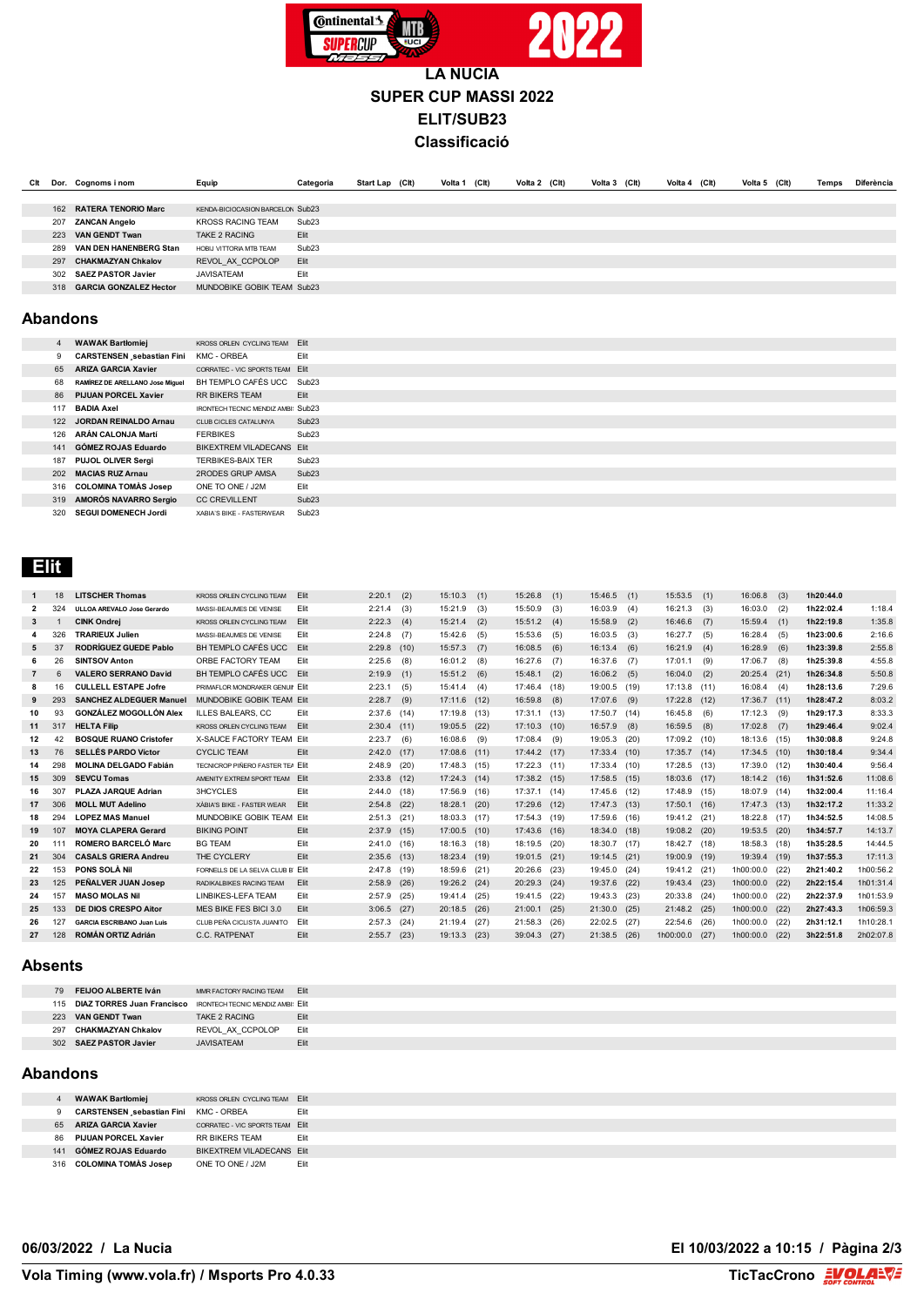

# **SUPER CUP MASSI 2022 ELIT/SUB23 Classificació**

| Clt | Dor. | Cognoms i nom                 | Equip                            | Categoria         | Start Lap (Clt) | Volta 1 (Clt) | Volta 2 (Clt) | Volta 3 (Clt) | Volta 4 (Clt) | Volta 5 (Clt) | Temps | Diferència |
|-----|------|-------------------------------|----------------------------------|-------------------|-----------------|---------------|---------------|---------------|---------------|---------------|-------|------------|
|     |      |                               |                                  |                   |                 |               |               |               |               |               |       |            |
|     | 162  | <b>RATERA TENORIO Marc</b>    | KENDA-BICIOCASION BARCELON Sub23 |                   |                 |               |               |               |               |               |       |            |
|     | 207  | <b>ZANCAN Angelo</b>          | <b>KROSS RACING TEAM</b>         | Sub <sub>23</sub> |                 |               |               |               |               |               |       |            |
|     | 223  | <b>VAN GENDT Twan</b>         | TAKE 2 RACING                    | Elit              |                 |               |               |               |               |               |       |            |
|     | 289  | VAN DEN HANENBERG Stan        | HOBIJ VITTORIA MTB TEAM          | Sub <sub>23</sub> |                 |               |               |               |               |               |       |            |
|     | 297  | <b>CHAKMAZYAN Chkalov</b>     | REVOL AX CCPOLOP                 | Elit              |                 |               |               |               |               |               |       |            |
|     | 302  | <b>SAEZ PASTOR Javier</b>     | <b>JAVISATEAM</b>                | Elit              |                 |               |               |               |               |               |       |            |
|     | 318  | <b>GARCIA GONZALEZ Hector</b> | MUNDOBIKE GOBIK TEAM Sub23       |                   |                 |               |               |               |               |               |       |            |
|     |      |                               |                                  |                   |                 |               |               |               |               |               |       |            |

### **Abandons**

| $\overline{4}$ | <b>WAWAK Bartlomiej</b>                | KROSS ORLEN CYCLING TEAM           | <b>Elit</b>       |
|----------------|----------------------------------------|------------------------------------|-------------------|
| 9              | <b>CARSTENSEN sebastian Fini</b>       | KMC - ORBEA                        | Flit              |
| 65             | <b>ARIZA GARCIA Xavier</b>             | CORRATEC - VIC SPORTS TEAM         | <b>Elit</b>       |
| 68             | <b>RAMÍREZ DE ARELLANO Jose Miquel</b> | BH TEMPLO CAFÉS UCC.               | Sub <sub>23</sub> |
| 86             | <b>PIJUAN PORCEL Xavier</b>            | <b>RR BIKERS TEAM</b>              | Elit              |
| 117            | <b>BADIA Axel</b>                      | IRONTECH TECNIC MENDIZ AMBI: Sub23 |                   |
| 122            | <b>JORDAN REINALDO Arnau</b>           | CLUB CICLES CATALUNYA              | Sub <sub>23</sub> |
| 126            | <b>ARÁN CALONJA Martí</b>              | <b>FERBIKES</b>                    | Sub23             |
| 141            | GÓMEZ ROJAS Eduardo                    | BIKEXTREM VILADECANS               | <b>Elit</b>       |
| 187            | PUJOL OLIVER Sergi                     | <b>TERBIKES-BAIX TER</b>           | Sub23             |
| 202            | <b>MACIAS RUZ Arnau</b>                | 2RODES GRUP AMSA                   | Sub23             |
| 316            | <b>COLOMINA TOMÀS Josep</b>            | ONE TO ONE / J2M                   | Flit              |
| 319            | AMORÓS NAVARRO Sergio                  | <b>CC CREVILLENT</b>               | Sub <sub>23</sub> |
| 320            | <b>SEGUI DOMENECH Jordi</b>            | XABIA'S BIKE - FASTERWEAR          | Sub <sub>23</sub> |

## **Elit**

| $\mathbf{1}$   | 18  | <b>LITSCHER Thomas</b>            | KROSS ORLEN CYCLING TEAM         | Elit        | 2:20.1        | (2)  | 15:10.3      | (1)  | 15:26.8      | (1)  | 15:46.5        | (1)  | $15:53.5$ (1)  |     | 16:06.8        | (3)  | 1h20:44.0 |           |
|----------------|-----|-----------------------------------|----------------------------------|-------------|---------------|------|--------------|------|--------------|------|----------------|------|----------------|-----|----------------|------|-----------|-----------|
| $\overline{2}$ | 324 | ULLOA AREVALO Jose Gerardo        | MASSI-BEAUMES DE VENISE          | Elit        | 2:21.4        | (3)  | 15:21.9      | (3)  | 15:50.9      | (3)  | 16:03.9        | (4)  | $16:21.3$ (3)  |     | 16:03.0        | (2)  | 1h22:02.4 | 1:18.4    |
| 3              |     | <b>CINK Ondrej</b>                | <b>KROSS ORLEN CYCLING TEAM</b>  | <b>Elit</b> | 2:22.3        | (4)  | 15:21.4      | (2)  | 15:51.2      | (4)  | 15:58.9        | (2)  | 16:46.6        | (7) | 15:59.4        | (1)  | 1h22:19.8 | 1:35.8    |
| 4              | 326 | <b>TRARIEUX Julien</b>            | MASSI-BEAUMES DE VENISE          | Elit        | 2:24.8        | (7)  | 15:42.6      | (5)  | 15:53.6      | (5)  | 16:03.5        | (3)  | 16:27.7        | (5) | 16:28.4        | (5)  | 1h23:00.6 | 2:16.6    |
| 5              | 37  | <b>RODRÍGUEZ GUEDE Pablo</b>      | BH TEMPLO CAFÉS UCC.             | <b>Elit</b> | 2:29.8        | (10) | 15:57.3      | (7)  | 16:08.5      | (6)  | 16:13.4        | (6)  | 16:21.9        | (4) | 16:28.9        | (6)  | 1h23:39.8 | 2:55.8    |
| 6              | 26  | <b>SINTSOV Anton</b>              | ORBE FACTORY TEAM                | Elit        | 2:25.6        | (8)  | 16:01.2      | (8)  | 16:27.6      | (7)  | 16:37.6        | (7)  | 17:01.1        | (9) | 17:06.7        | (8)  | 1h25:39.8 | 4:55.8    |
| $\overline{7}$ | 6   | <b>VALERO SERRANO David</b>       | BH TEMPLO CAFÉS UCC              | Flit        | 2:19.9        | (1)  | 15:51.2      | (6)  | 15:48.1      | (2)  | $16:06.2$ (5)  |      | 16:04.0        | (2) | 20:25.4        | (21) | 1h26:34.8 | 5:50.8    |
| 8              | 16  | <b>CULLELL ESTAPE Jofre</b>       | PRIMAFLOR MONDRAKER GENUIL Elit  |             | 2:23.1        | (5)  | 15:41.4      | (4)  | 17:46.4      | (18) | 19:00.5 (19)   |      | $17:13.8$ (11) |     | 16:08.4        | (4)  | 1h28:13.6 | 7:29.6    |
| 9              | 293 | <b>SANCHEZ ALDEGUER Manuel</b>    | MUNDOBIKE GOBIK TEAM Elit        |             | 2:28.7        | (9)  | 17:11.6      | (12) | 16:59.8      | (8)  | 17:07.6        | (9)  | 17:22.8 (12)   |     | 17:36.7        | (11) | 1h28:47.2 | 8:03.2    |
| 10             | 93  | <b>GONZÁLEZ MOGOLLÓN Alex</b>     | <b>ILLES BALEARS, CC</b>         | Elit        | 2:37.6        | (14) | 17:19.8 (13) |      | 17:31.1      | (13) | $17:50.7$ (14) |      | $16:45.8$ (6)  |     | 17:12.3        | (9)  | 1h29:17.3 | 8:33.3    |
| 11             | 317 | <b>HELTA Filip</b>                | KROSS ORLEN CYCLING TEAM         | <b>Elit</b> | 2:30.4        | (11) | 19:05.5      | (22) | 17:10.3      | (10) | 16:57.9        | (8)  | $16:59.5$ (8)  |     | 17:02.8        | (7)  | 1h29:46.4 | 9:02.4    |
| 12             | 42  | <b>BOSQUE RUANO Cristofer</b>     | X-SAUCE FACTORY TEAM Elit        |             | 2:23.7        | (6)  | 16:08.6      | (9)  | 17:08.4      | (9)  | 19:05.3 (20)   |      | 17:09.2 (10)   |     | 18:13.6        | (15) | 1h30:08.8 | 9:24.8    |
| 13             | 76  | <b>SELLÉS PARDO Víctor</b>        | <b>CYCLIC TEAM</b>               | Elit        | 2:42.0        | (17) | 17:08.6      | (11) | 17:44.2      | (17) | 17:33.4 (10)   |      | $17:35.7$ (14) |     | $17:34.5$ (10) |      | 1h30:18.4 | 9:34.4    |
| 14             | 298 | <b>MOLINA DELGADO Fabián</b>      | TECNICROP PIÑERO FASTER TE/ Flit |             | 2:48.9        | (20) | 17:48.3 (15) |      | 17:22.3      | (11) | $17:33.4$ (10) |      | 17:28.5 (13)   |     | 17:39.0        | (12) | 1h30:40.4 | 9:56.4    |
| 15             | 309 | <b>SEVCU Tomas</b>                | AMENITY EXTREM SPORT TEAM        | Elit        | 2:33.8        | (12) | 17:24.3      | (14) | 17:38.2      | (15) | $17:58.5$ (15) |      | 18:03.6 (17)   |     | 18:14.2        | (16) | 1h31:52.6 | 11:08.6   |
| 16             | 307 | PLAZA JAROUE Adrian               | <b>3HCYCLES</b>                  | Elit        | 2:44.0        | (18) | 17:56.9      | (16) | 17:37.1      | (14) | 17:45.6 (12)   |      | 17:48.9 (15)   |     | 18:07.9        | (14) | 1h32:00.4 | 11:16.4   |
| 17             | 306 | <b>MOLL MUT Adelino</b>           | XÀBIA'S BIKE - FASTER WEAR       | <b>Elit</b> | 2:54.8        | (22) | 18:28.1      | (20) | 17:29.6      | (12) | $17:47.3$ (13) |      | $17:50.1$ (16) |     | 17:47.3        | (13) | 1h32:17.2 | 11:33.2   |
| 18             | 294 | <b>LOPEZ MAS Manuel</b>           | MUNDOBIKE GOBIK TEAM Elit        |             | 2:51.3        | (21) | 18:03.3      | (17) | 17:54.3      | (19) | 17:59.6 (16)   |      | 19:41.2 (21)   |     | 18:22.8        | (17) | 1h34:52.5 | 14:08.5   |
| 19             | 107 | <b>MOYA CLAPERA Gerard</b>        | <b>BIKING POINT</b>              | Elit        | 2:37.9        | (15) | 17:00.5      | (10) | 17:43.6      | (16) | 18:34.0 (18)   |      | 19:08.2 (20)   |     | 19:53.5        | (20) | 1h34:57.7 | 14:13.7   |
| 20             | 111 | <b>ROMERO BARCELÓ Marc</b>        | <b>BG TEAM</b>                   | Elit        | $2:41.0$ (16) |      | 18:16.3 (18) |      | 18:19.5 (20) |      | 18:30.7 (17)   |      | 18:42.7 (18)   |     | 18:58.3        | (18) | 1h35:28.5 | 14:44.5   |
| 21             | 304 | <b>CASALS GRIERA Andreu</b>       | THE CYCLERY                      | Elit        | 2:35.6        | (13) | 18:23.4      | (19) | 19:01.5      | (21) | $19:14.5$ (21) |      | 19:00.9 (19)   |     | 19:39.4        | (19) | 1h37:55.3 | 17:11.3   |
| 22             | 153 | <b>PONS SOLÀ Nil</b>              | FORNELLS DE LA SELVA CLUB B Elit |             | 2:47.8        | (19) | 18:59.6      | (21) | 20:26.6      | (23) | 19:45.0 (24)   |      | 19:41.2 (21)   |     | 1h00:00.0      | (22) | 2h21:40.2 | 1h00:56.2 |
| 23             | 125 | PEÑALVER JUAN Josep               | RADIKALBIKES RACING TEAM         | Elit        | 2:58.9        | (26) | 19:26.2      | (24) | 20:29.3      | (24) | 19:37.6 (22)   |      | 19:43.4 (23)   |     | 1h00:00.0      | (22) | 2h22:15.4 | 1h01:31.4 |
| 24             | 157 | <b>MASO MOLAS Nil</b>             | <b>LINBIKES-LEFA TEAM</b>        | Elit        | 2:57.9        | (25) | 19:41.4      | (25) | 19:41.5      | (22) | 19:43.3 (23)   |      | 20:33.8 (24)   |     | 1h00:00.0      | (22) | 2h22:37.9 | 1h01:53.9 |
| 25             | 133 | <b>DE DIOS CRESPO Aitor</b>       | MES BIKE FES BICI 3.0            | Elit        | 3:06.5        | (27) | 20:18.5      | (26) | 21:00.1      | (25) | $21:30.0$ (25) |      | 21:48.2 (25)   |     | 1h00:00.0      | (22) | 2h27:43.3 | 1h06:59.3 |
| 26             | 127 | <b>GARCIA ESCRIBANO Juan Luis</b> | CLUB PEÑA CICLISTA JUANITO       | Elit        | 2:57.3        | (24) | 21:19.4      | (27) | 21:58.3      | (26) | 22:02.5        | (27) | 22:54.6 (26)   |     | 1h00:00.0      | (22) | 2h31:12.1 | 1h10:28.1 |
| 27             | 128 | <b>ROMÁN ORTIZ Adrián</b>         | C.C. RATPENAT                    | Elit        | 2:55.7        | (23) | 19:13.3      | (23) | 39:04.3      | (27) | $21:38.5$ (26) |      | 1h00:00.0 (27) |     | 1h00:00.0      | (22) | 3h22:51.8 | 2h02:07.8 |
|                |     |                                   |                                  |             |               |      |              |      |              |      |                |      |                |     |                |      |           |           |

#### **Absents**

| 79  | <b>FEIJOO ALBERTE Iván</b>     | MMR FACTORY RACING TFAM           | <b>Elit</b> |
|-----|--------------------------------|-----------------------------------|-------------|
|     | 115 DIAZ TORRES Juan Francisco | IRONTECH TECNIC MENDIZ AMBI: Flit |             |
| 223 | <b>VAN GENDT Twan</b>          | TAKE 2 RACING                     | Flit        |
| 297 | <b>CHAKMAZYAN Chkalov</b>      | REVOL AX CCPOLOP                  | Flit        |
| 302 | <b>SAEZ PASTOR Javier</b>      | <b>JAVISATEAM</b>                 | Flit        |

### **Abandons**

|     | <b>WAWAK Bartłomiej</b>                      | <b>KROSS ORLEN CYCLING TEAM Elit</b> |      |
|-----|----------------------------------------------|--------------------------------------|------|
| ີ   | <b>CARSTENSEN sebastian Fini KMC - ORBEA</b> |                                      | Elit |
| 65  | ARIZA GARCIA Xavier                          | CORRATEC - VIC SPORTS TEAM Elit      |      |
| 86. | <b>PIJUAN PORCEL Xavier</b>                  | <b>RR BIKERS TEAM</b>                | Elit |
| 141 | GÓMEZ ROJAS Eduardo                          | BIKEXTREM VILADECANS Elit            |      |
|     | 316 COLOMINA TOMAS Josep                     | ONE TO ONE / J2M                     | Elit |